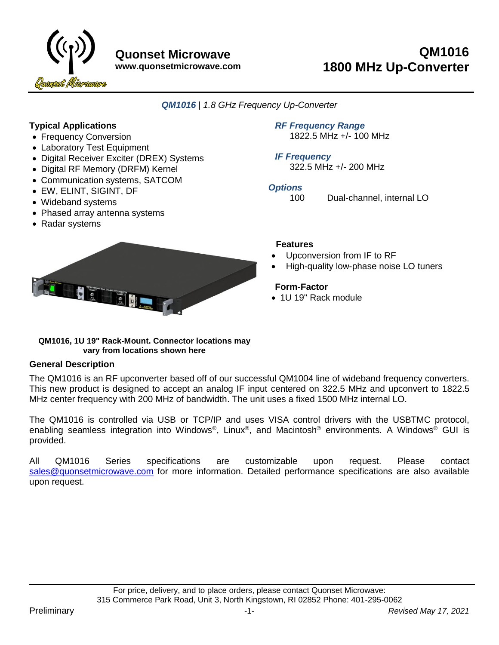

**www.quonsetmicrowave.com**

# **QM1016 1800 MHz Up-Converter**

*QM1016 | 1.8 GHz Frequency Up-Converter*

### **Typical Applications**

- Frequency Conversion
- Laboratory Test Equipment
- Digital Receiver Exciter (DREX) Systems
- Digital RF Memory (DRFM) Kernel
- Communication systems, SATCOM
- EW, ELINT, SIGINT, DF
- Wideband systems
- Phased array antenna systems
- Radar systems

*RF Frequency Range* 1822.5 MHz +/- 100 MHz

*IF Frequency*  322.5 MHz +/- 200 MHz

### *Options*

100 Dual-channel, internal LO



### **Features**

- Upconversion from IF to RF
- High-quality low-phase noise LO tuners

### **Form-Factor**

• 1U 19" Rack module

#### **QM1016, 1U 19" Rack-Mount. Connector locations may vary from locations shown here**

### **General Description**

The QM1016 is an RF upconverter based off of our successful QM1004 line of wideband frequency converters. This new product is designed to accept an analog IF input centered on 322.5 MHz and upconvert to 1822.5 MHz center frequency with 200 MHz of bandwidth. The unit uses a fixed 1500 MHz internal LO.

The QM1016 is controlled via USB or TCP/IP and uses VISA control drivers with the USBTMC protocol, enabling seamless integration into Windows®, Linux®, and Macintosh® environments. A Windows® GUI is provided.

All QM1016 Series specifications are customizable upon request. Please contact [sales@quonsetmicrowave.com](mailto:sales@appliedradar.com) for more information. Detailed performance specifications are also available upon request.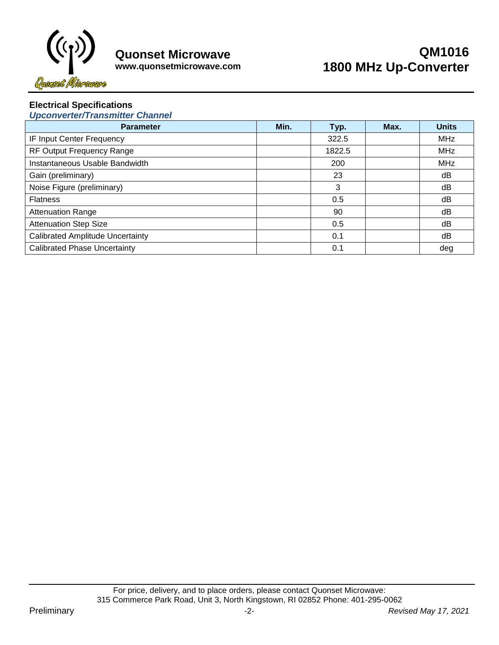

#### **www.quonsetmicrowave.com**

# **QM1016 1800 MHz Up-Converter**

### **Electrical Specifications**

*Upconverter/Transmitter Channel*

| <b>Parameter</b>                        | Min. | Typ.   | Max. | <b>Units</b> |
|-----------------------------------------|------|--------|------|--------------|
| IF Input Center Frequency               |      | 322.5  |      | <b>MHz</b>   |
| RF Output Frequency Range               |      | 1822.5 |      | <b>MHz</b>   |
| Instantaneous Usable Bandwidth          |      | 200    |      | <b>MHz</b>   |
| Gain (preliminary)                      |      | 23     |      | dB           |
| Noise Figure (preliminary)              |      | 3      |      | dB           |
| <b>Flatness</b>                         |      | 0.5    |      | dB           |
| <b>Attenuation Range</b>                |      | 90     |      | dB           |
| <b>Attenuation Step Size</b>            |      | 0.5    |      | dB           |
| <b>Calibrated Amplitude Uncertainty</b> |      | 0.1    |      | dB           |
| <b>Calibrated Phase Uncertainty</b>     |      | 0.1    |      | deg          |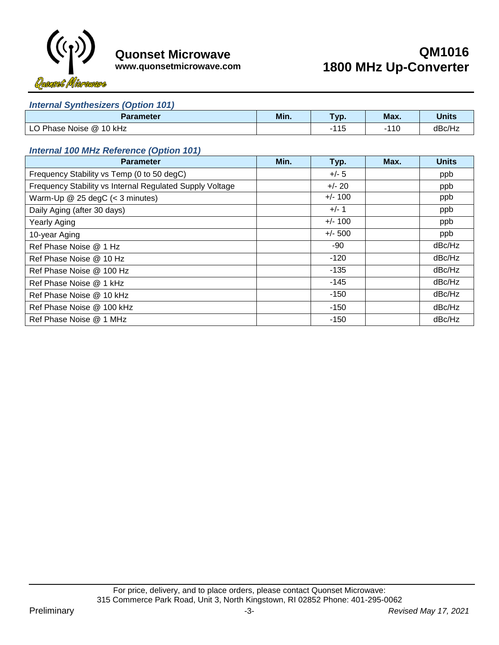

**QM1016 1800 MHz Up-Converter**

**www.quonsetmicrowave.com**

#### *Internal Synthesizers (Option 101)*

| <b>Parameter</b>          | Min. | Typ.        | Max.      | <b>Units</b> |
|---------------------------|------|-------------|-----------|--------------|
| Phase Noise @ 10 kHz<br>◡ |      | .11F<br>ں ا | 44C<br>ำ⊍ | dBc/Hz       |

### *Internal 100 MHz Reference (Option 101)*

| <b>Parameter</b>                                         | Min. | Typ.      | Max. | <b>Units</b> |
|----------------------------------------------------------|------|-----------|------|--------------|
| Frequency Stability vs Temp (0 to 50 degC)               |      | $+/- 5$   |      | ppb          |
| Frequency Stability vs Internal Regulated Supply Voltage |      | $+/- 20$  |      | ppb          |
| Warm-Up $@$ 25 degC (< 3 minutes)                        |      | $+/- 100$ |      | ppb          |
| Daily Aging (after 30 days)                              |      | $+/- 1$   |      | ppb          |
| <b>Yearly Aging</b>                                      |      | $+/- 100$ |      | ppb          |
| 10-year Aging                                            |      | $+/- 500$ |      | ppb          |
| Ref Phase Noise @ 1 Hz                                   |      | -90       |      | dBc/Hz       |
| Ref Phase Noise @ 10 Hz                                  |      | $-120$    |      | dBc/Hz       |
| Ref Phase Noise @ 100 Hz                                 |      | $-135$    |      | dBc/Hz       |
| Ref Phase Noise @ 1 kHz                                  |      | $-145$    |      | dBc/Hz       |
| Ref Phase Noise @ 10 kHz                                 |      | $-150$    |      | dBc/Hz       |
| Ref Phase Noise @ 100 kHz                                |      | $-150$    |      | dBc/Hz       |
| Ref Phase Noise @ 1 MHz                                  |      | $-150$    |      | dBc/Hz       |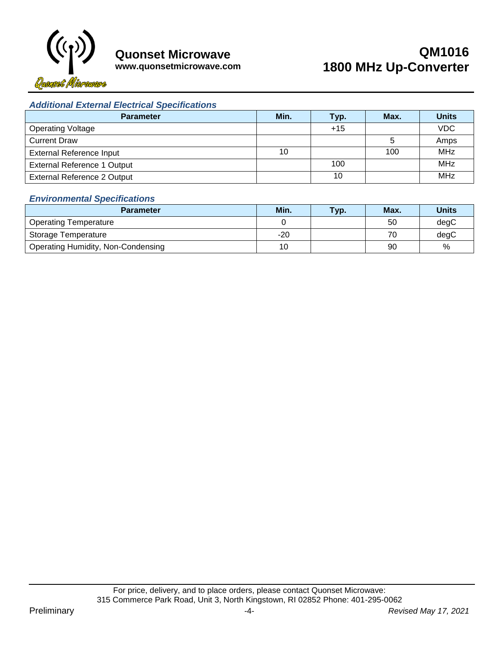

# **QM1016 1800 MHz Up-Converter**

## **www.quonsetmicrowave.com**

### *Additional External Electrical Specifications*

| <b>Parameter</b>                   | Min. | Typ.  | Max. | <b>Units</b> |
|------------------------------------|------|-------|------|--------------|
| <b>Operating Voltage</b>           |      | $+15$ |      | <b>VDC</b>   |
| <b>Current Draw</b>                |      |       |      | Amps         |
| <b>External Reference Input</b>    | 10   |       | 100  | <b>MHz</b>   |
| <b>External Reference 1 Output</b> |      | 100   |      | <b>MHz</b>   |
| <b>External Reference 2 Output</b> |      | 10    |      | <b>MHz</b>   |

### *Environmental Specifications*

| <b>Parameter</b>                          | Min. | <b>Typ</b> | Max. | Units |
|-------------------------------------------|------|------------|------|-------|
| <b>Operating Temperature</b>              |      |            | 50   | degC  |
| Storage Temperature                       | -20  |            | 70   | degC  |
| <b>Operating Humidity, Non-Condensing</b> | 10   |            | 90   | %     |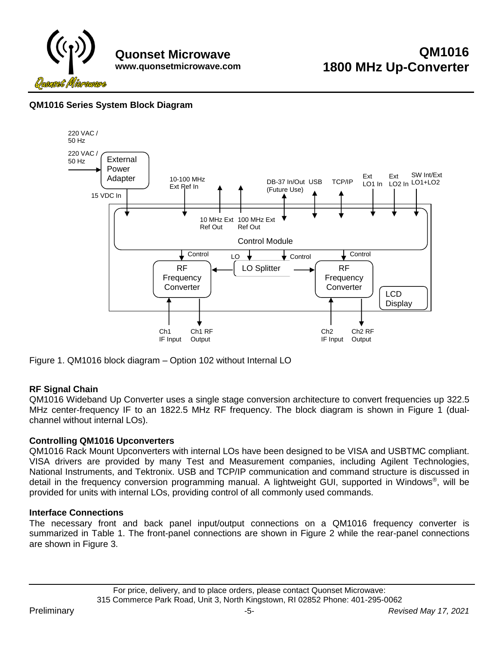

### **QM1016 Series System Block Diagram**



<span id="page-4-0"></span>Figure 1. QM1016 block diagram – Option 102 without Internal LO

### **RF Signal Chain**

QM1016 Wideband Up Converter uses a single stage conversion architecture to convert frequencies up 322.5 MHz center-frequency IF to an 1822.5 MHz RF frequency. The block diagram is shown in [Figure 1](#page-4-0) (dualchannel without internal LOs).

### **Controlling QM1016 Upconverters**

QM1016 Rack Mount Upconverters with internal LOs have been designed to be VISA and USBTMC compliant. VISA drivers are provided by many Test and Measurement companies, including Agilent Technologies, National Instruments, and Tektronix. USB and TCP/IP communication and command structure is discussed in detail in the frequency conversion programming manual. A lightweight GUI, supported in Windows®, will be provided for units with internal LOs, providing control of all commonly used commands.

#### **Interface Connections**

The necessary front and back panel input/output connections on a QM1016 frequency converter is summarized in [Table 1.](#page-5-0) The front-panel connections are shown in [Figure 2](#page-5-1) while the rear-panel connections are shown in [Figure 3.](#page-5-2)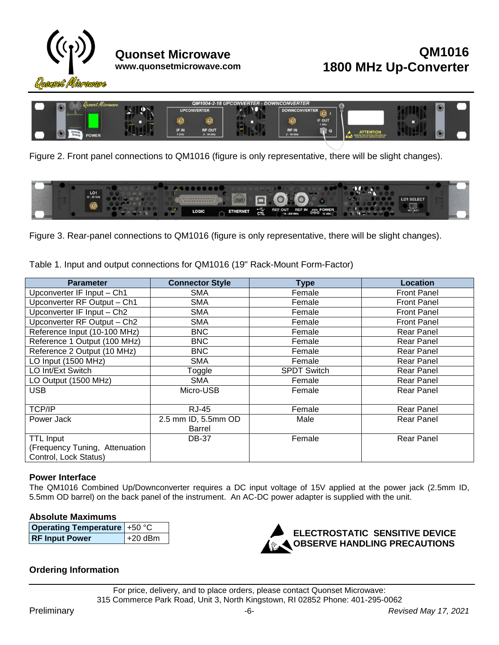



Figure 2. Front panel connections to QM1016 (figure is only representative, there will be slight changes).

<span id="page-5-1"></span>

<span id="page-5-2"></span>Figure 3. Rear-panel connections to QM1016 (figure is only representative, there will be slight changes).

<span id="page-5-0"></span>Table 1. Input and output connections for QM1016 (19" Rack-Mount Form-Factor)

| <b>Parameter</b>               | <b>Connector Style</b> | <b>Type</b>                  | Location           |
|--------------------------------|------------------------|------------------------------|--------------------|
| Upconverter IF Input - Ch1     | <b>SMA</b>             | Female                       | <b>Front Panel</b> |
| Upconverter RF Output - Ch1    | <b>SMA</b>             | Female<br><b>Front Panel</b> |                    |
| Upconverter IF Input - Ch2     | <b>SMA</b>             | Female                       | <b>Front Panel</b> |
| Upconverter RF Output - Ch2    | <b>SMA</b>             | Female                       | <b>Front Panel</b> |
| Reference Input (10-100 MHz)   | <b>BNC</b>             | Female                       | <b>Rear Panel</b>  |
| Reference 1 Output (100 MHz)   | <b>BNC</b>             | Female                       | <b>Rear Panel</b>  |
| Reference 2 Output (10 MHz)    | <b>BNC</b>             | Female                       | <b>Rear Panel</b>  |
| LO Input (1500 MHz)            | <b>SMA</b>             | Female                       | <b>Rear Panel</b>  |
| LO Int/Ext Switch              | Toggle                 | <b>SPDT Switch</b>           | <b>Rear Panel</b>  |
| LO Output (1500 MHz)           | <b>SMA</b>             | Female                       | <b>Rear Panel</b>  |
| <b>USB</b>                     | Micro-USB              | Female                       | <b>Rear Panel</b>  |
|                                |                        |                              |                    |
| <b>TCP/IP</b>                  | <b>RJ-45</b>           | Female                       | <b>Rear Panel</b>  |
| Power Jack                     | 2.5 mm ID, 5.5mm OD    | Male                         | <b>Rear Panel</b>  |
|                                | <b>Barrel</b>          |                              |                    |
| <b>TTL Input</b>               | <b>DB-37</b>           | Female                       | <b>Rear Panel</b>  |
| (Frequency Tuning, Attenuation |                        |                              |                    |
| Control, Lock Status)          |                        |                              |                    |

### **Power Interface**

The QM1016 Combined Up/Downconverter requires a DC input voltage of 15V applied at the power jack (2.5mm ID, 5.5mm OD barrel) on the back panel of the instrument. An AC-DC power adapter is supplied with the unit.

#### **Absolute Maximums**

| <b>Operating Temperature +50 °C</b> |           |
|-------------------------------------|-----------|
| <b>RF Input Power</b>               | $+20$ dBm |



### **Ordering Information**

For price, delivery, and to place orders, please contact Quonset Microwave: 315 Commerce Park Road, Unit 3, North Kingstown, RI 02852 Phone: 401-295-0062